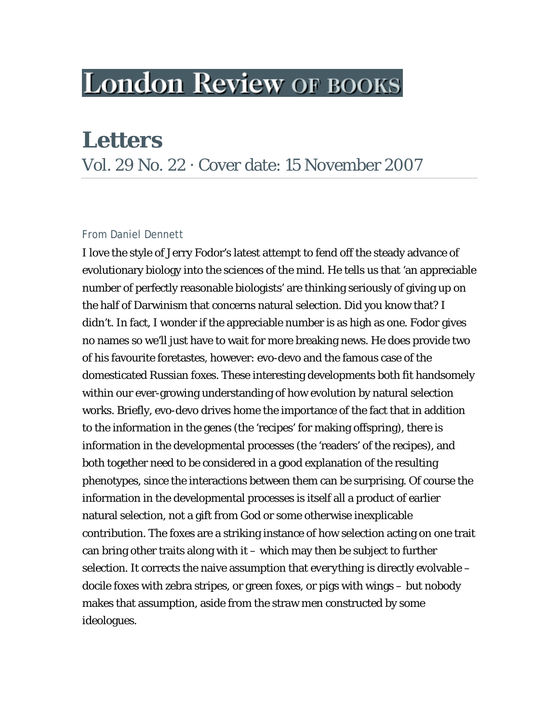# **London Review OF BOOKS**

## **Letters**  Vol. 29 No. 22 · Cover date: 15 November 2007

#### From Daniel Dennett

I love the style of Jerry Fodor's latest attempt to fend off the steady advance of evolutionary biology into the sciences of the mind. He tells us that 'an appreciable number of perfectly reasonable biologists' are thinking seriously of giving up on the half of Darwinism that concerns natural selection. Did you know that? I didn't. In fact, I wonder if the appreciable number is as high as one. Fodor gives no names so we'll just have to wait for more breaking news. He does provide two of his favourite foretastes, however: evo-devo and the famous case of the domesticated Russian foxes. These interesting developments both fit handsomely within our ever-growing understanding of how evolution by natural selection works. Briefly, evo-devo drives home the importance of the fact that in addition to the information in the genes (the 'recipes' for making offspring), there is information in the developmental processes (the 'readers' of the recipes), and both together need to be considered in a good explanation of the resulting phenotypes, since the interactions between them can be surprising. Of course the information in the developmental processes is itself all a product of earlier natural selection, not a gift from God or some otherwise inexplicable contribution. The foxes are a striking instance of how selection acting on one trait can bring other traits along with it – which may then be subject to further selection. It corrects the naive assumption that *everything* is directly evolvable – docile foxes with zebra stripes, or green foxes, or pigs with wings – but nobody makes that assumption, aside from the straw men constructed by some ideologues.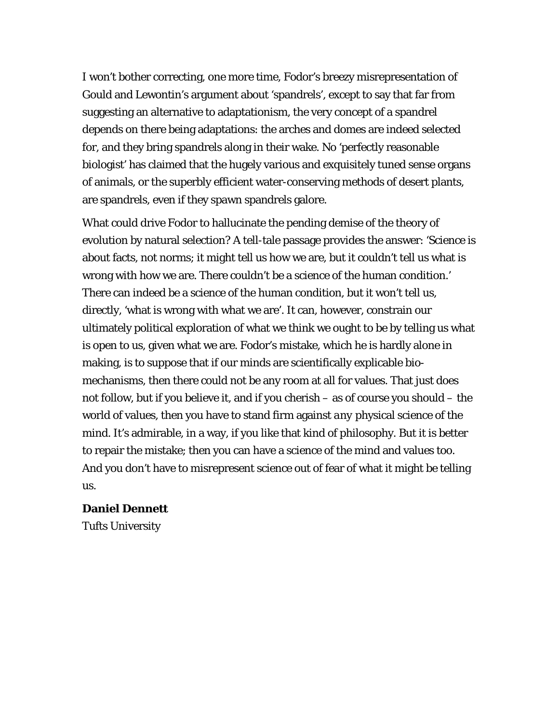I won't bother correcting, one more time, Fodor's breezy misrepresentation of Gould and Lewontin's argument about 'spandrels', except to say that far from suggesting an alternative to adaptationism, the very concept of a spandrel depends on there being adaptations: the arches and domes are indeed selected for, and they bring spandrels along in their wake. No 'perfectly reasonable biologist' has claimed that the hugely various and exquisitely tuned sense organs of animals, or the superbly efficient water-conserving methods of desert plants, are spandrels, even if they spawn spandrels galore.

What could drive Fodor to hallucinate the pending demise of the theory of evolution by natural selection? A tell-tale passage provides the answer: 'Science is about facts, not norms; it might tell us how we are, but it couldn't tell us what is wrong with how we are. There couldn't be a science of the human condition.' There can indeed be a science of the human condition, but it won't tell us, directly, 'what is wrong with what we are'. It can, however, constrain our ultimately political exploration of what we think we ought to be by telling us what is open to us, given what we are. Fodor's mistake, which he is hardly alone in making, is to suppose that if our minds are scientifically explicable biomechanisms, then there could not be any room at all for values. That just does not follow, but if you believe it, and if you cherish – as of course you should – the world of values, then you have to stand firm against *any* physical science of the mind. It's admirable, in a way, if you like that kind of philosophy. But it is better to repair the mistake; then you can have a science of the mind and values too. And you don't have to misrepresent science out of fear of what it might be telling us.

#### **Daniel Dennett**

Tufts University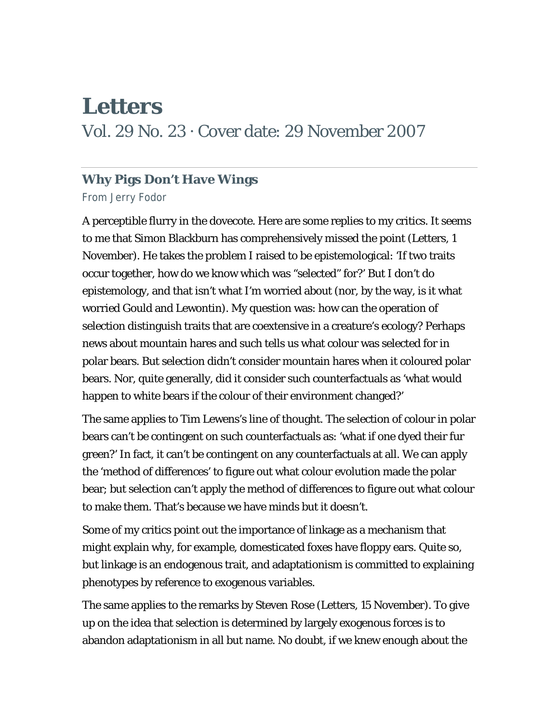### **Letters**  Vol. 29 No. 23 · Cover date: 29 November 2007

### **Why Pigs Don't Have Wings**

#### From Jerry Fodor

A perceptible flurry in the dovecote. Here are some replies to my critics. It seems to me that Simon Blackburn has comprehensively missed the point (Letters, 1 November). He takes the problem I raised to be epistemological: 'If two traits occur together, how do we know which was "selected" for?' But I don't do epistemology, and that isn't what I'm worried about (nor, by the way, is it what worried Gould and Lewontin). My question was: how can the operation of selection distinguish traits that are coextensive in a creature's ecology? Perhaps news about mountain hares and such tells us what colour was selected for in polar bears. But selection didn't consider mountain hares when it coloured polar bears. Nor, quite generally, did it consider such counterfactuals as 'what would happen to white bears if the colour of their environment changed?'

The same applies to Tim Lewens's line of thought. The selection of colour in polar bears can't be contingent on such counterfactuals as: 'what if one dyed their fur green?' In fact, it can't be contingent on any counterfactuals at all. We can apply the 'method of differences' to figure out what colour evolution made the polar bear; but selection can't apply the method of differences to figure out what colour to make them. That's because we have minds but it doesn't.

Some of my critics point out the importance of linkage as a mechanism that might explain why, for example, domesticated foxes have floppy ears. Quite so, but linkage is an endogenous trait, and adaptationism is committed to explaining phenotypes by reference to exogenous variables.

The same applies to the remarks by Steven Rose (Letters, 15 November). To give up on the idea that selection is determined by largely exogenous forces is to abandon adaptationism in all but name. No doubt, if we knew enough about the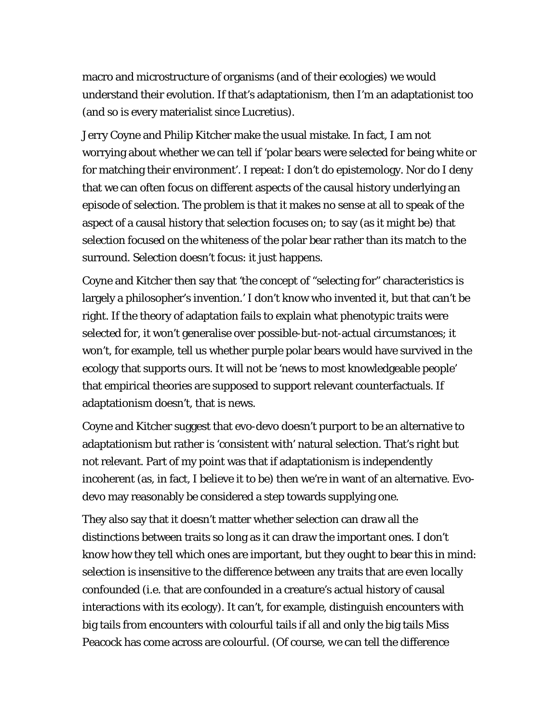macro and microstructure of organisms (and of their ecologies) we would understand their evolution. If that's adaptationism, then I'm an adaptationist too (and so is every materialist since Lucretius).

Jerry Coyne and Philip Kitcher make the usual mistake. In fact, I am not worrying about whether we can tell if 'polar bears were selected for being white or for matching their environment'. I repeat: I don't do epistemology. Nor do I deny that we can often focus on different aspects of the causal history underlying an episode of selection. The problem is that it makes no sense at all to speak of the aspect of a causal history that selection focuses on; to say (as it might be) that selection focused on the whiteness of the polar bear rather than its match to the surround. Selection doesn't focus: it just happens.

Coyne and Kitcher then say that 'the concept of "selecting for" characteristics is largely a philosopher's invention.' I don't know who invented it, but that can't be right. If the theory of adaptation fails to explain what phenotypic traits were selected for, it won't generalise over possible-but-not-actual circumstances; it won't, for example, tell us whether purple polar bears would have survived in the ecology that supports ours. It will not be 'news to most knowledgeable people' that empirical theories are supposed to support relevant counterfactuals. If adaptationism doesn't, that *is* news.

Coyne and Kitcher suggest that evo-devo doesn't purport to be an alternative to adaptationism but rather is 'consistent with' natural selection. That's right but not relevant. Part of my point was that if adaptationism is independently incoherent (as, in fact, I believe it to be) then we're in want of an alternative. Evodevo may reasonably be considered a step towards supplying one.

They also say that it doesn't matter whether selection can draw all the distinctions between traits so long as it can draw the important ones. I don't know how they tell which ones are important, but they ought to bear this in mind: selection is insensitive to the difference between any traits that are even *locally* confounded (i.e. that are confounded in a creature's actual history of causal interactions with its ecology). It can't, for example, distinguish encounters with big tails from encounters with colourful tails if all and only the big tails Miss Peacock has come across are colourful. (Of course, *we* can tell the difference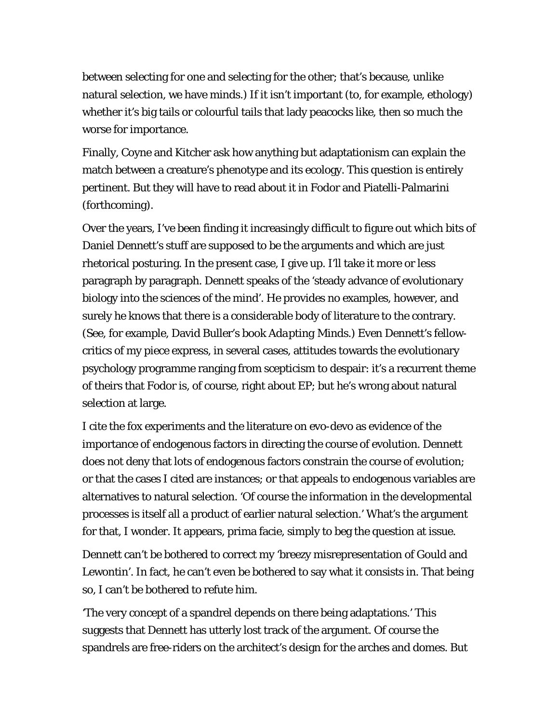between selecting for one and selecting for the other; that's because, unlike natural selection, we have minds.) If it isn't important (to, for example, ethology) whether it's big tails or colourful tails that lady peacocks like, then so much the worse for importance.

Finally, Coyne and Kitcher ask how anything but adaptationism can explain the match between a creature's phenotype and its ecology. This question is entirely pertinent. But they will have to read about it in Fodor and Piatelli-Palmarini (forthcoming).

Over the years, I've been finding it increasingly difficult to figure out which bits of Daniel Dennett's stuff are supposed to be the arguments and which are just rhetorical posturing. In the present case, I give up. I'll take it more or less paragraph by paragraph. Dennett speaks of the 'steady advance of evolutionary biology into the sciences of the mind'. He provides no examples, however, and surely he knows that there is a considerable body of literature to the contrary. (See, for example, David Buller's book *Adapting Minds.*) Even Dennett's fellowcritics of my piece express, in several cases, attitudes towards the evolutionary psychology programme ranging from scepticism to despair: it's a recurrent theme of theirs that Fodor is, of course, right about EP; but he's wrong about natural selection at large.

I cite the fox experiments and the literature on evo-devo as evidence of the importance of endogenous factors in directing the course of evolution. Dennett does not deny that lots of endogenous factors constrain the course of evolution; or that the cases I cited are instances; or that appeals to endogenous variables are alternatives to natural selection. 'Of course the information in the developmental processes is itself all a product of earlier natural selection.' What's the argument for that, I wonder. It appears, prima facie, simply to beg the question at issue.

Dennett can't be bothered to correct my 'breezy misrepresentation of Gould and Lewontin'. In fact, he can't even be bothered to say what it consists in. That being so, I can't be bothered to refute him.

'The very concept of a spandrel depends on there being adaptations.' This suggests that Dennett has utterly lost track of the argument. Of course the spandrels are free-riders on the architect's design for the arches and domes. But